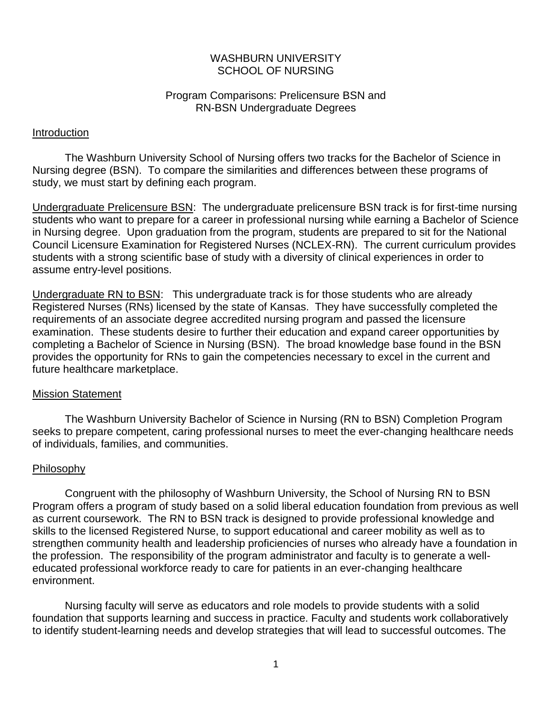## WASHBURN UNIVERSITY SCHOOL OF NURSING

## Program Comparisons: Prelicensure BSN and RN-BSN Undergraduate Degrees

## Introduction

The Washburn University School of Nursing offers two tracks for the Bachelor of Science in Nursing degree (BSN). To compare the similarities and differences between these programs of study, we must start by defining each program.

Undergraduate Prelicensure BSN: The undergraduate prelicensure BSN track is for first-time nursing students who want to prepare for a career in professional nursing while earning a Bachelor of Science in Nursing degree. Upon graduation from the program, students are prepared to sit for the National Council Licensure Examination for Registered Nurses (NCLEX-RN). The current curriculum provides students with a strong scientific base of study with a diversity of clinical experiences in order to assume entry-level positions.

Undergraduate RN to BSN: This undergraduate track is for those students who are already Registered Nurses (RNs) licensed by the state of Kansas. They have successfully completed the requirements of an associate degree accredited nursing program and passed the licensure examination. These students desire to further their education and expand career opportunities by completing a Bachelor of Science in Nursing (BSN). The broad knowledge base found in the BSN provides the opportunity for RNs to gain the competencies necessary to excel in the current and future healthcare marketplace.

## Mission Statement

The Washburn University Bachelor of Science in Nursing (RN to BSN) Completion Program seeks to prepare competent, caring professional nurses to meet the ever-changing healthcare needs of individuals, families, and communities.

## Philosophy

Congruent with the philosophy of Washburn University, the School of Nursing RN to BSN Program offers a program of study based on a solid liberal education foundation from previous as well as current coursework. The RN to BSN track is designed to provide professional knowledge and skills to the licensed Registered Nurse, to support educational and career mobility as well as to strengthen community health and leadership proficiencies of nurses who already have a foundation in the profession. The responsibility of the program administrator and faculty is to generate a welleducated professional workforce ready to care for patients in an ever-changing healthcare environment.

Nursing faculty will serve as educators and role models to provide students with a solid foundation that supports learning and success in practice. Faculty and students work collaboratively to identify student-learning needs and develop strategies that will lead to successful outcomes. The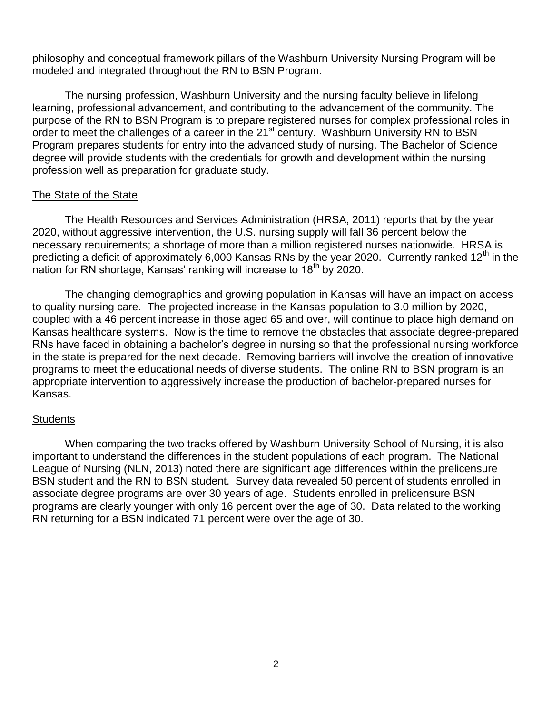philosophy and conceptual framework pillars of the Washburn University Nursing Program will be modeled and integrated throughout the RN to BSN Program.

The nursing profession, Washburn University and the nursing faculty believe in lifelong learning, professional advancement, and contributing to the advancement of the community. The purpose of the RN to BSN Program is to prepare registered nurses for complex professional roles in order to meet the challenges of a career in the 21<sup>st</sup> century. Washburn University RN to BSN Program prepares students for entry into the advanced study of nursing. The Bachelor of Science degree will provide students with the credentials for growth and development within the nursing profession well as preparation for graduate study.

## The State of the State

The Health Resources and Services Administration (HRSA, 2011) reports that by the year 2020, without aggressive intervention, the U.S. nursing supply will fall 36 percent below the necessary requirements; a shortage of more than a million registered nurses nationwide. HRSA is predicting a deficit of approximately 6,000 Kansas RNs by the year 2020. Currently ranked 12<sup>th</sup> in the nation for RN shortage, Kansas' ranking will increase to  $18<sup>th</sup>$  by 2020.

The changing demographics and growing population in Kansas will have an impact on access to quality nursing care. The projected increase in the Kansas population to 3.0 million by 2020, coupled with a 46 percent increase in those aged 65 and over, will continue to place high demand on Kansas healthcare systems. Now is the time to remove the obstacles that associate degree-prepared RNs have faced in obtaining a bachelor's degree in nursing so that the professional nursing workforce in the state is prepared for the next decade. Removing barriers will involve the creation of innovative programs to meet the educational needs of diverse students. The online RN to BSN program is an appropriate intervention to aggressively increase the production of bachelor-prepared nurses for Kansas.

## **Students**

When comparing the two tracks offered by Washburn University School of Nursing, it is also important to understand the differences in the student populations of each program. The National League of Nursing (NLN, 2013) noted there are significant age differences within the prelicensure BSN student and the RN to BSN student. Survey data revealed 50 percent of students enrolled in associate degree programs are over 30 years of age. Students enrolled in prelicensure BSN programs are clearly younger with only 16 percent over the age of 30. Data related to the working RN returning for a BSN indicated 71 percent were over the age of 30.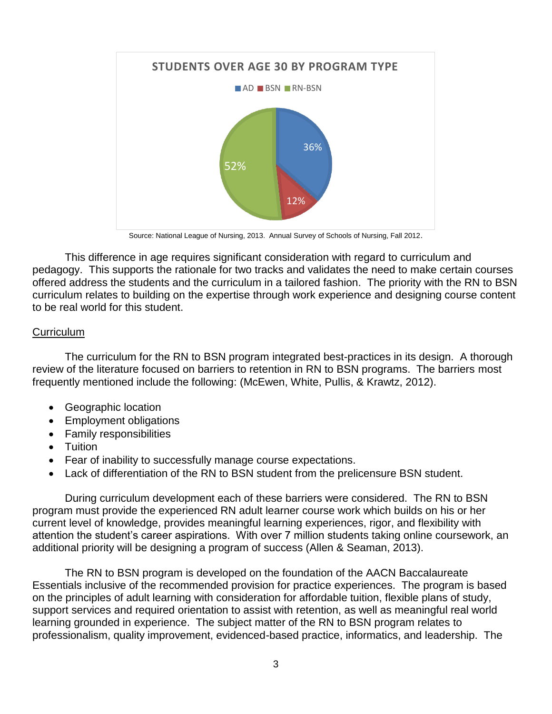

Source: National League of Nursing, 2013. Annual Survey of Schools of Nursing, Fall 2012.

This difference in age requires significant consideration with regard to curriculum and pedagogy. This supports the rationale for two tracks and validates the need to make certain courses offered address the students and the curriculum in a tailored fashion. The priority with the RN to BSN curriculum relates to building on the expertise through work experience and designing course content to be real world for this student.

## **Curriculum**

The curriculum for the RN to BSN program integrated best-practices in its design. A thorough review of the literature focused on barriers to retention in RN to BSN programs. The barriers most frequently mentioned include the following: (McEwen, White, Pullis, & Krawtz, 2012).

- Geographic location
- Employment obligations
- Family responsibilities
- Tuition
- Fear of inability to successfully manage course expectations.
- Lack of differentiation of the RN to BSN student from the prelicensure BSN student.

During curriculum development each of these barriers were considered. The RN to BSN program must provide the experienced RN adult learner course work which builds on his or her current level of knowledge, provides meaningful learning experiences, rigor, and flexibility with attention the student's career aspirations. With over 7 million students taking online coursework, an additional priority will be designing a program of success (Allen & Seaman, 2013).

The RN to BSN program is developed on the foundation of the AACN Baccalaureate Essentials inclusive of the recommended provision for practice experiences. The program is based on the principles of adult learning with consideration for affordable tuition, flexible plans of study, support services and required orientation to assist with retention, as well as meaningful real world learning grounded in experience. The subject matter of the RN to BSN program relates to professionalism, quality improvement, evidenced-based practice, informatics, and leadership. The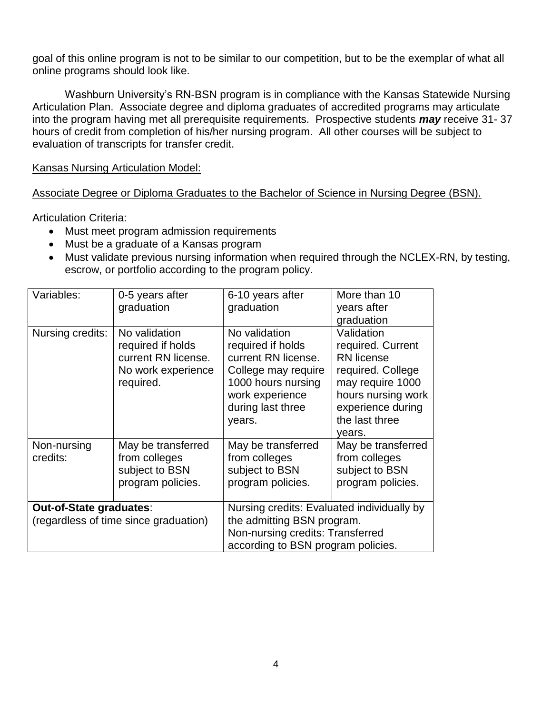goal of this online program is not to be similar to our competition, but to be the exemplar of what all online programs should look like.

Washburn University's RN-BSN program is in compliance with the Kansas Statewide Nursing Articulation Plan. Associate degree and diploma graduates of accredited programs may articulate into the program having met all prerequisite requirements. Prospective students *may* receive 31- 37 hours of credit from completion of his/her nursing program. All other courses will be subject to evaluation of transcripts for transfer credit.

Kansas Nursing Articulation Model:

Associate Degree or Diploma Graduates to the Bachelor of Science in Nursing Degree (BSN).

Articulation Criteria:

- Must meet program admission requirements
- Must be a graduate of a Kansas program
- Must validate previous nursing information when required through the NCLEX-RN, by testing, escrow, or portfolio according to the program policy.

| Variables:                                                       | 0-5 years after<br>graduation                                                                | 6-10 years after<br>graduation                                                                                                                           | More than 10<br>years after<br>graduation                                                                                                                            |
|------------------------------------------------------------------|----------------------------------------------------------------------------------------------|----------------------------------------------------------------------------------------------------------------------------------------------------------|----------------------------------------------------------------------------------------------------------------------------------------------------------------------|
| Nursing credits:                                                 | No validation<br>required if holds<br>current RN license.<br>No work experience<br>required. | No validation<br>required if holds<br>current RN license.<br>College may require<br>1000 hours nursing<br>work experience<br>during last three<br>years. | Validation<br>required. Current<br><b>RN</b> license<br>required. College<br>may require 1000<br>hours nursing work<br>experience during<br>the last three<br>years. |
| Non-nursing<br>credits:                                          | May be transferred<br>from colleges<br>subject to BSN<br>program policies.                   | May be transferred<br>from colleges<br>subject to BSN<br>program policies.                                                                               | May be transferred<br>from colleges<br>subject to BSN<br>program policies.                                                                                           |
| Out-of-State graduates:<br>(regardless of time since graduation) |                                                                                              | Nursing credits: Evaluated individually by<br>the admitting BSN program.<br>Non-nursing credits: Transferred<br>according to BSN program policies.       |                                                                                                                                                                      |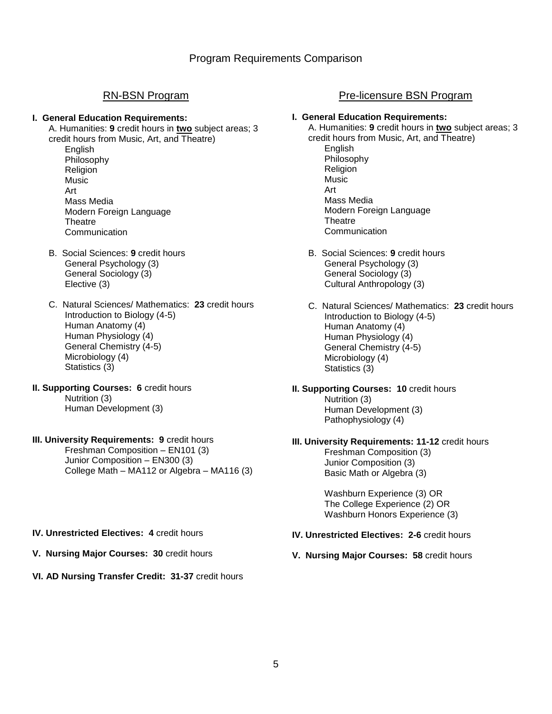#### **I. General Education Requirements:**

A. Humanities: **9** credit hours in **two** subject areas; 3 credit hours from Music, Art, and Theatre)

English Philosophy Religion Music Art Mass Media Modern Foreign Language **Theatre Communication** 

- B. Social Sciences: **9** credit hours General Psychology (3) General Sociology (3) Elective (3)
- C. Natural Sciences/ Mathematics: **23** credit hours Introduction to Biology (4-5) Human Anatomy (4) Human Physiology (4) General Chemistry (4-5) Microbiology (4) Statistics (3)
- **II. Supporting Courses: 6** credit hours Nutrition (3) Human Development (3)

## **III. University Requirements: 9 credit hours**

Freshman Composition – EN101 (3) Junior Composition – EN300 (3) College Math – MA112 or Algebra – MA116 (3)

## RN-BSN Program **Pre-licensure BSN Program**

## **I. General Education Requirements:**

A. Humanities: **9** credit hours in **two** subject areas; 3 credit hours from Music, Art, and Theatre)

- English Philosophy Religion Music Art Mass Media Modern Foreign Language **Theatre Communication**
- B. Social Sciences: **9** credit hours General Psychology (3) General Sociology (3) Cultural Anthropology (3)
- C. Natural Sciences/ Mathematics: **23** credit hours Introduction to Biology (4-5) Human Anatomy (4) Human Physiology (4) General Chemistry (4-5) Microbiology (4) Statistics (3)

**II. Supporting Courses: 10** credit hours Nutrition (3) Human Development (3) Pathophysiology (4)

# **III. University Requirements: 11-12** credit hours

Freshman Composition (3) Junior Composition (3) Basic Math or Algebra (3)

Washburn Experience (3) OR The College Experience (2) OR Washburn Honors Experience (3)

**IV. Unrestricted Electives: 2-6** credit hours

**V. Nursing Major Courses: 58** credit hours

- **IV. Unrestricted Electives: 4** credit hours
- **V. Nursing Major Courses: 30** credit hours
- **VI. AD Nursing Transfer Credit: 31-37** credit hours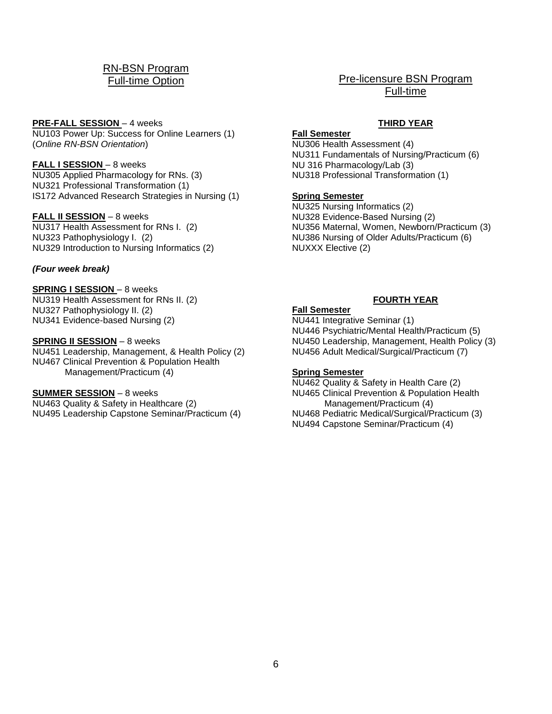## RN-BSN Program Full-time Option

#### **PRE-FALL SESSION** – 4 weeks

NU103 Power Up: Success for Online Learners (1) (*Online RN-BSN Orientation*)

#### **FALL I SESSION** – 8 weeks

NU305 Applied Pharmacology for RNs. (3) NU321 Professional Transformation (1) IS172 Advanced Research Strategies in Nursing (1)

#### **FALL II SESSION** – 8 weeks

NU317 Health Assessment for RNs I. (2) NU323 Pathophysiology I. (2) NU329 Introduction to Nursing Informatics (2)

### *(Four week break)*

**SPRING I SESSION** – 8 weeks

NU319 Health Assessment for RNs II. (2) NU327 Pathophysiology II. (2) NU341 Evidence-based Nursing (2)

#### **SPRING II SESSION** – 8 weeks

NU451 Leadership, Management, & Health Policy (2) NU467 Clinical Prevention & Population Health Management/Practicum (4)

#### **SUMMER SESSION** – 8 weeks

NU463 Quality & Safety in Healthcare (2) NU495 Leadership Capstone Seminar/Practicum (4)

## Pre-licensure BSN Program Full-time

## **THIRD YEAR**

**Fall Semester** NU306 Health Assessment (4) NU311 Fundamentals of Nursing/Practicum (6) NU 316 Pharmacology/Lab (3) NU318 Professional Transformation (1)

### **Spring Semester**

NU325 Nursing Informatics (2) NU328 Evidence-Based Nursing (2) NU356 Maternal, Women, Newborn/Practicum (3) NU386 Nursing of Older Adults/Practicum (6) NUXXX Elective (2)

## **FOURTH YEAR**

## **Fall Semester**

NU441 Integrative Seminar (1) NU446 Psychiatric/Mental Health/Practicum (5) NU450 Leadership, Management, Health Policy (3) NU456 Adult Medical/Surgical/Practicum (7)

#### **Spring Semester**

NU462 Quality & Safety in Health Care (2) NU465 Clinical Prevention & Population Health Management/Practicum (4) NU468 Pediatric Medical/Surgical/Practicum (3) NU494 Capstone Seminar/Practicum (4)